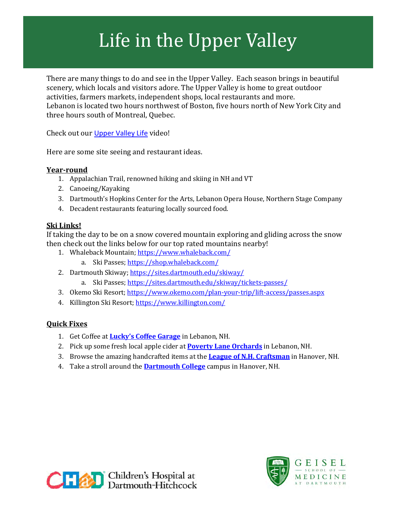# Life in the Upper Valley

There are many things to do and see in the Upper Valley. Each season brings in beautiful scenery, which locals and visitors adore. The Upper Valley is home to great outdoor activities, farmers markets, independent shops, local restaurants and more. Lebanon is located two hours northwest of Boston, five hours north of New York City and three hours south of Montreal, Quebec.

Check out our [Upper Valley Life](https://video.dartmouth-hitchcock.org/media/Living+in+the+Upper+Valley/1_hw3mmu3m) video!

Here are some site seeing and restaurant ideas.

### **Year-round**

- 1. Appalachian Trail, renowned hiking and skiing in NH and VT
- 2. Canoeing/Kayaking
- 3. Dartmouth's Hopkins Center for the Arts, Lebanon Opera House, Northern Stage Company
- 4. Decadent restaurants featuring locally sourced food.

### **Ski Links!**

If taking the day to be on a snow covered mountain exploring and gliding across the snow then check out the links below for our top rated mountains nearby!

- 1. Whaleback Mountain;<https://www.whaleback.com/>
	- a. Ski Passes;<https://shop.whaleback.com/>
- 2. Dartmouth Skiway;<https://sites.dartmouth.edu/skiway/>
	- a. Ski Passes;<https://sites.dartmouth.edu/skiway/tickets-passes/>
- 3. Okemo Ski Resort;<https://www.okemo.com/plan-your-trip/lift-access/passes.aspx>
- 4. Killington Ski Resort;<https://www.killington.com/>

## **Quick Fixes**

- 1. Get Coffee at **[Lucky's Coffee Garage](https://www.luckyscoffeegarage.com/)** in Lebanon, NH.
- 2. Pick up some fresh local apple cider at **[Poverty Lane Orchards](http://www.povertylaneorchards.com/)** in Lebanon, NH.
- 3. Browse the amazing handcrafted items at the **[League of N.H. Craftsman](https://hanover.nhcrafts.org/)** in Hanover, NH.
- 4. Take a stroll around the **[Dartmouth College](https://home.dartmouth.edu/life-community/explore-green)** campus in Hanover, NH.